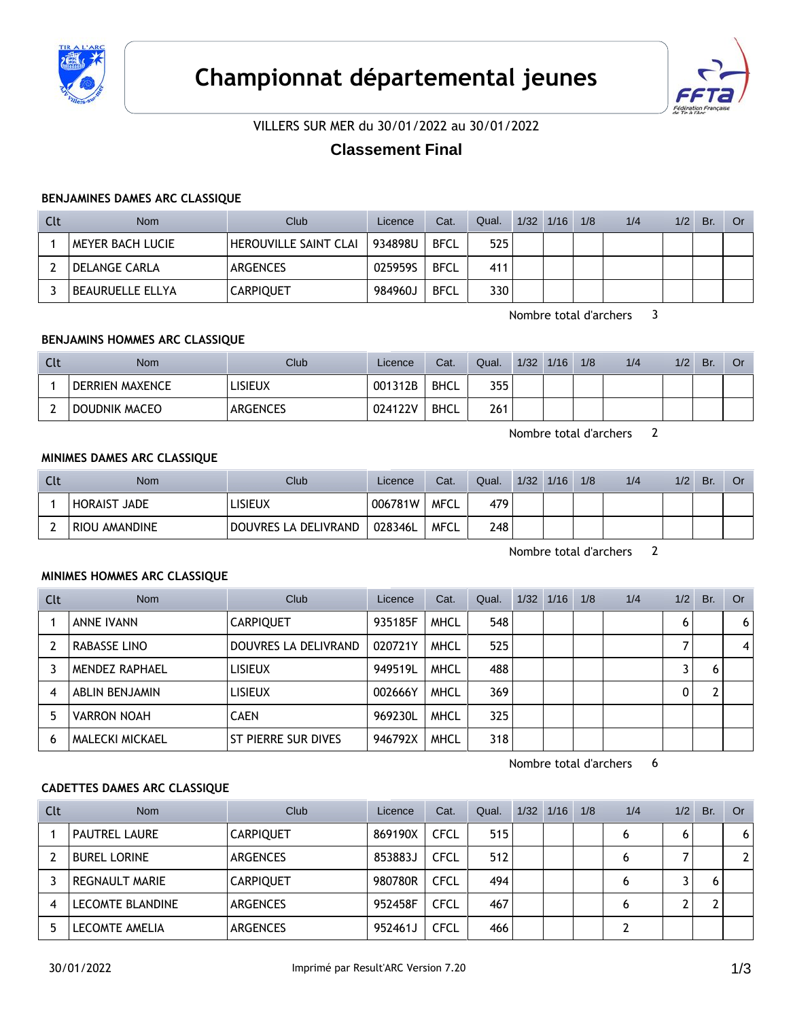



VILLERS SUR MER du 30/01/2022 au 30/01/2022

# **Classement Final**

#### **BENJAMINES DAMES ARC CLASSIQUE**

| Clt | <b>Nom</b>              | Club                  | Licence | Cat.        | Qual. | $1/32$ $1/16$ | 1/8 | 1/4 | 1/2 | Br. | Or. |
|-----|-------------------------|-----------------------|---------|-------------|-------|---------------|-----|-----|-----|-----|-----|
|     | <b>MEYER BACH LUCIE</b> | HEROUVILLE SAINT CLAI | 934898U | <b>BFCL</b> | 525   |               |     |     |     |     |     |
|     | DELANGE CARLA           | ARGENCES              | 025959S | <b>BFCL</b> | 411   |               |     |     |     |     |     |
|     | BEAURUELLE ELLYA        | <b>CARPIQUET</b>      | 984960J | <b>BFCL</b> | 330   |               |     |     |     |     |     |

Nombre total d'archers 3

### **BENJAMINS HOMMES ARC CLASSIQUE**

| Clt | <b>Nom</b>             | Club            | Licence | Cat. | Qual. | 1/32 | 1/16 | 1/8 | 1/4 | 1/2 | Br. | Or |
|-----|------------------------|-----------------|---------|------|-------|------|------|-----|-----|-----|-----|----|
|     | <b>DERRIEN MAXENCE</b> | LISIEUX         | 001312B | BHCL | 355   |      |      |     |     |     |     |    |
|     | DOUDNIK MACEO          | <b>ARGENCES</b> | 024122V | BHCL | 261   |      |      |     |     |     |     |    |

Nombre total d'archers 2

### **MINIMES DAMES ARC CLASSIQUE**

| Clt | <b>Nom</b>          | <b>Club</b>          | Licence | Cat. | Qual. | 1/32 | 1/16 | 1/8 | 1/4 | 1/2 | Br. | Or |
|-----|---------------------|----------------------|---------|------|-------|------|------|-----|-----|-----|-----|----|
|     | <b>HORAIST JADE</b> | LISIEUX              | 006781W | MFCL | 479   |      |      |     |     |     |     |    |
|     | RIOU AMANDINE       | DOUVRES LA DELIVRAND | 028346L | MFCL | 248   |      |      |     |     |     |     |    |

Nombre total d'archers 2

### **MINIMES HOMMES ARC CLASSIQUE**

| Clt | <b>Nom</b>            | Club                 | Licence | Cat.        | Qual. | 1/32 | 1/16 | 1/8 | 1/4 | 1/2 | Br. | Or |
|-----|-----------------------|----------------------|---------|-------------|-------|------|------|-----|-----|-----|-----|----|
|     | <b>ANNE IVANN</b>     | <b>CARPIQUET</b>     | 935185F | <b>MHCL</b> | 548   |      |      |     |     | 6   |     | 6  |
|     | RABASSE LINO          | DOUVRES LA DELIVRAND | 020721Y | <b>MHCL</b> | 525   |      |      |     |     |     |     | 4  |
|     | <b>MENDEZ RAPHAEL</b> | <b>LISIEUX</b>       | 949519L | <b>MHCL</b> | 488   |      |      |     |     |     |     |    |
| 4   | ABLIN BENJAMIN        | <b>LISIEUX</b>       | 002666Y | <b>MHCL</b> | 369   |      |      |     |     | 0   |     |    |
| 5   | <b>VARRON NOAH</b>    | <b>CAEN</b>          | 969230L | <b>MHCL</b> | 325   |      |      |     |     |     |     |    |
| 6   | MALECKI MICKAEL       | ST PIERRE SUR DIVES  | 946792X | <b>MHCL</b> | 318   |      |      |     |     |     |     |    |

Nombre total d'archers 6

### **CADETTES DAMES ARC CLASSIQUE**

| Clt | <b>Nom</b>              | Club             | Licence | Cat.        | Qual. | $1/32$ $1/16$ | 1/8 | 1/4 | 1/2 | Br. | Or           |
|-----|-------------------------|------------------|---------|-------------|-------|---------------|-----|-----|-----|-----|--------------|
|     | <b>PAUTREL LAURE</b>    | <b>CARPIQUET</b> | 869190X | <b>CFCL</b> | 515   |               |     | 6   | 6   |     | 6            |
|     | <b>BUREL LORINE</b>     | ARGENCES         | 853883J | <b>CFCL</b> | 512   |               |     | 6   |     |     | $\mathbf{2}$ |
|     | <b>REGNAULT MARIE</b>   | <b>CARPIQUET</b> | 980780R | <b>CFCL</b> | 494   |               |     | 6   |     |     |              |
|     | <b>LECOMTE BLANDINE</b> | ARGENCES         | 952458F | <b>CFCL</b> | 467   |               |     | 6   |     |     |              |
|     | LECOMTE AMELIA          | ARGENCES         | 952461J | <b>CFCL</b> | 466   |               |     |     |     |     |              |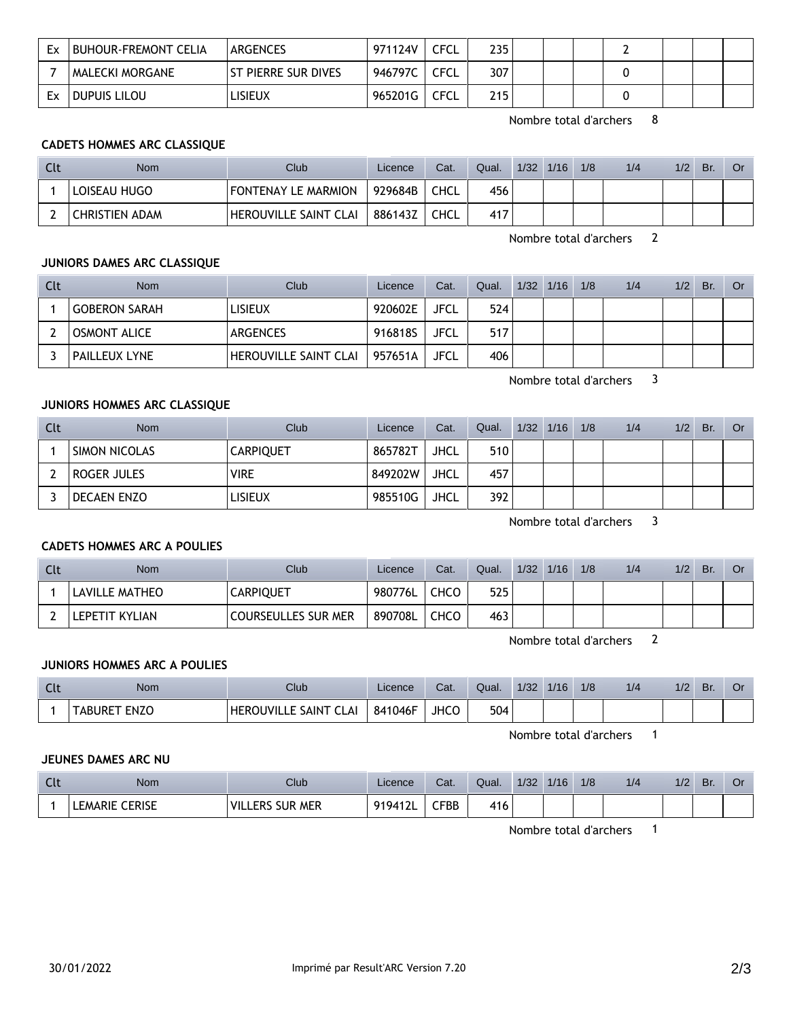| Ex | <b>BUHOUR-FREMONT CELIA</b> | ARGENCES                    | 971124V | CFCL | 235 |  |  |  |  |
|----|-----------------------------|-----------------------------|---------|------|-----|--|--|--|--|
|    | MALECKI MORGANE             | <b>IST PIERRE SUR DIVES</b> | 946797C | CFCL | 307 |  |  |  |  |
| Ex | Dupuis Lilou                | LISIEUX                     | 965201G | CFCL | 215 |  |  |  |  |

Nombre total d'archers 8

## **CADETS HOMMES ARC CLASSIQUE**

| <b>Nom</b>            | Club                  | Licence | Cat.        | Qual. | 1/32 | 1/16 | 1/8 | 1/4 | 1/2 | Br. |  |
|-----------------------|-----------------------|---------|-------------|-------|------|------|-----|-----|-----|-----|--|
| LOISEAU HUGO          | FONTENAY LE MARMION   | 929684B | <b>CHCL</b> | 456   |      |      |     |     |     |     |  |
| <b>CHRISTIEN ADAM</b> | HEROUVILLE SAINT CLAI | 886143Z | <b>CHCL</b> | 417   |      |      |     |     |     |     |  |

Nombre total d'archers 2

## **JUNIORS DAMES ARC CLASSIQUE**

| Clt | <b>Nom</b>           | Club                  | Licence | Cat.        | Qual. | $1/32$ $1/16$ | 1/8 | 1/4 | 1/2 | Br. | <b>Or</b> |
|-----|----------------------|-----------------------|---------|-------------|-------|---------------|-----|-----|-----|-----|-----------|
|     | <b>GOBERON SARAH</b> | lisieux               | 920602E | <b>JFCL</b> | 524   |               |     |     |     |     |           |
|     | <b>OSMONT ALICE</b>  | <b>ARGENCES</b>       | 916818S | JFCL        | 517   |               |     |     |     |     |           |
|     | <b>PAILLEUX LYNE</b> | HEROUVILLE SAINT CLAI | 957651A | JFCL        | 406   |               |     |     |     |     |           |

Nombre total d'archers 3

### **JUNIORS HOMMES ARC CLASSIQUE**

| Clt | <b>Nom</b>    | Club             | Licence | Cat.        | Qual. | $1/32$ $1/16$ | 1/8 | 1/4 | 1/2 | Br. | Or |
|-----|---------------|------------------|---------|-------------|-------|---------------|-----|-----|-----|-----|----|
|     | SIMON NICOLAS | <b>CARPIQUET</b> | 865782T | JHCL        | 510   |               |     |     |     |     |    |
|     | roger Jules   | <b>VIRE</b>      | 849202W | <b>JHCL</b> | 457   |               |     |     |     |     |    |
|     | DECAEN ENZO   | lisieux          | 985510G | JHCL        | 392   |               |     |     |     |     |    |

Nombre total d'archers 3

#### **CADETS HOMMES ARC A POULIES**

| Clt | Nom            | <b>Club</b>                | Licence | Cat.        | Qual. | 1/32 | 1/16 | 1/8 | 1/4 | 1/2 | Br. | Or |
|-----|----------------|----------------------------|---------|-------------|-------|------|------|-----|-----|-----|-----|----|
|     | LAVILLE MATHEO | <b>CARPIQUET</b>           | 980776L | <b>CHCO</b> | 525   |      |      |     |     |     |     |    |
|     | LEPETIT KYLIAN | <b>COURSEULLES SUR MER</b> | 890708L | <b>CHCO</b> | 463   |      |      |     |     |     |     |    |

Nombre total d'archers 2

### **JUNIORS HOMMES ARC A POULIES**

| <b>Clu</b> | Nom                    | $C$ lub                                   | Licence | Cat. | Qual. | 1/32 | 1/16 | 1/8 | 1/4 | 1/2 | Br. | Uì |
|------------|------------------------|-------------------------------------------|---------|------|-------|------|------|-----|-----|-----|-----|----|
|            | <b>ENZO</b><br>. ABURE | <b>HEROUVILLE SAINT</b><br>$\sim$<br>CLAI | 841046F | JHCC | 504   |      |      |     |     |     |     |    |

Nombre total d'archers 1

### **JEUNES DAMES ARC NU**

| $\sim$<br>nul. | Nom                      | Club                                   | Licence | Cat.           | Qual. | 1/32 | 1/16 | 1/8 | 1/2 | $\sqrt{2}$<br>17Z | Br. |  |
|----------------|--------------------------|----------------------------------------|---------|----------------|-------|------|------|-----|-----|-------------------|-----|--|
|                | <b>CERISE</b><br>LEMARIE | <b>SUR MER</b><br><b>ERS</b><br>' VIL∟ | 9194121 | $\mathsf{FBB}$ | 416   |      |      |     |     |                   |     |  |

Nombre total d'archers 1